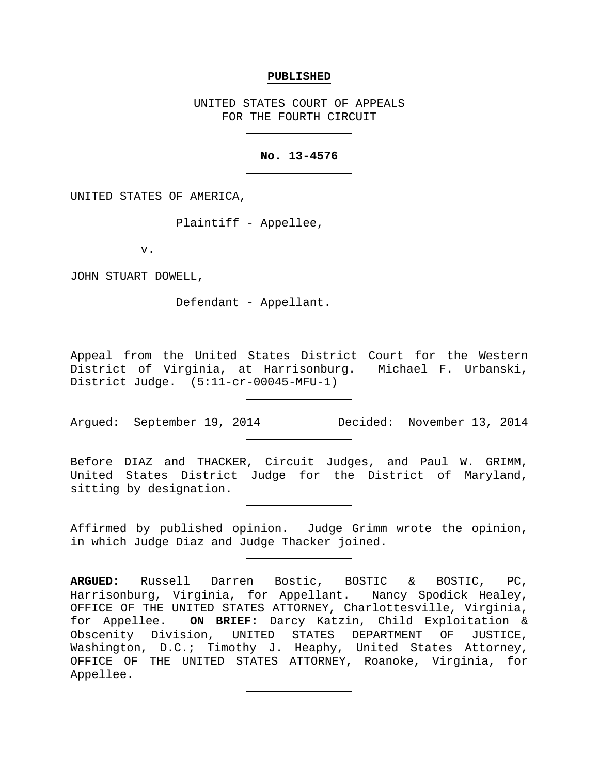#### **PUBLISHED**

UNITED STATES COURT OF APPEALS FOR THE FOURTH CIRCUIT

### **No. 13-4576**

UNITED STATES OF AMERICA,

Plaintiff - Appellee,

v.

JOHN STUART DOWELL,

Defendant - Appellant.

Appeal from the United States District Court for the Western District of Virginia, at Harrisonburg. Michael F. Urbanski, District Judge. (5:11-cr-00045-MFU-1)

Argued: September 19, 2014 Decided: November 13, 2014

Before DIAZ and THACKER, Circuit Judges, and Paul W. GRIMM, United States District Judge for the District of Maryland, sitting by designation.

Affirmed by published opinion. Judge Grimm wrote the opinion, in which Judge Diaz and Judge Thacker joined.

**ARGUED:** Russell Darren Bostic, BOSTIC & BOSTIC, PC, Harrisonburg, Virginia, for Appellant. Nancy Spodick Healey, OFFICE OF THE UNITED STATES ATTORNEY, Charlottesville, Virginia, for Appellee. **ON BRIEF:** Darcy Katzin, Child Exploitation & Obscenity Division, UNITED STATES DEPARTMENT OF JUSTICE, Washington, D.C.; Timothy J. Heaphy, United States Attorney, OFFICE OF THE UNITED STATES ATTORNEY, Roanoke, Virginia, for Appellee.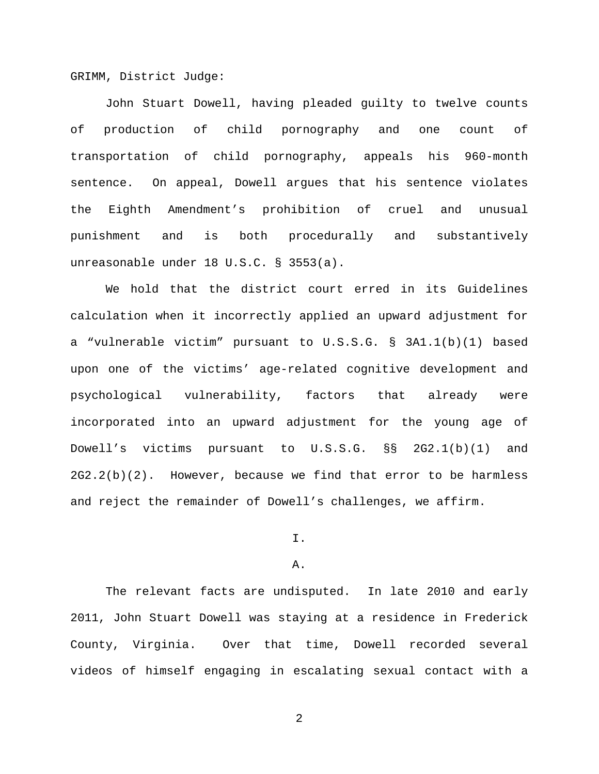GRIMM, District Judge:

John Stuart Dowell, having pleaded guilty to twelve counts of production of child pornography and one count of transportation of child pornography, appeals his 960-month sentence. On appeal, Dowell argues that his sentence violates the Eighth Amendment's prohibition of cruel and unusual punishment and is both procedurally and substantively unreasonable under 18 U.S.C. § 3553(a).

We hold that the district court erred in its Guidelines calculation when it incorrectly applied an upward adjustment for a "vulnerable victim" pursuant to U.S.S.G. § 3A1.1(b)(1) based upon one of the victims' age-related cognitive development and psychological vulnerability, factors that already were incorporated into an upward adjustment for the young age of Dowell's victims pursuant to U.S.S.G. §§ 2G2.1(b)(1) and  $2G2.2(b)(2)$ . However, because we find that error to be harmless and reject the remainder of Dowell's challenges, we affirm.

# I.

### A.

The relevant facts are undisputed. In late 2010 and early 2011, John Stuart Dowell was staying at a residence in Frederick County, Virginia. Over that time, Dowell recorded several videos of himself engaging in escalating sexual contact with a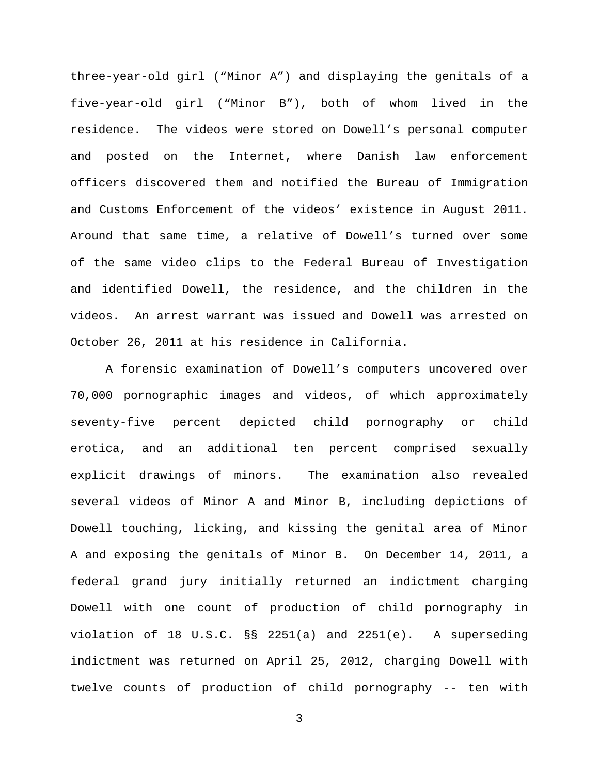three-year-old girl ("Minor A") and displaying the genitals of a five-year-old girl ("Minor B"), both of whom lived in the residence. The videos were stored on Dowell's personal computer and posted on the Internet, where Danish law enforcement officers discovered them and notified the Bureau of Immigration and Customs Enforcement of the videos' existence in August 2011. Around that same time, a relative of Dowell's turned over some of the same video clips to the Federal Bureau of Investigation and identified Dowell, the residence, and the children in the videos. An arrest warrant was issued and Dowell was arrested on October 26, 2011 at his residence in California.

A forensic examination of Dowell's computers uncovered over 70,000 pornographic images and videos, of which approximately seventy-five percent depicted child pornography or child erotica, and an additional ten percent comprised sexually explicit drawings of minors. The examination also revealed several videos of Minor A and Minor B, including depictions of Dowell touching, licking, and kissing the genital area of Minor A and exposing the genitals of Minor B. On December 14, 2011, a federal grand jury initially returned an indictment charging Dowell with one count of production of child pornography in violation of 18 U.S.C. §§ 2251(a) and 2251(e). A superseding indictment was returned on April 25, 2012, charging Dowell with twelve counts of production of child pornography -- ten with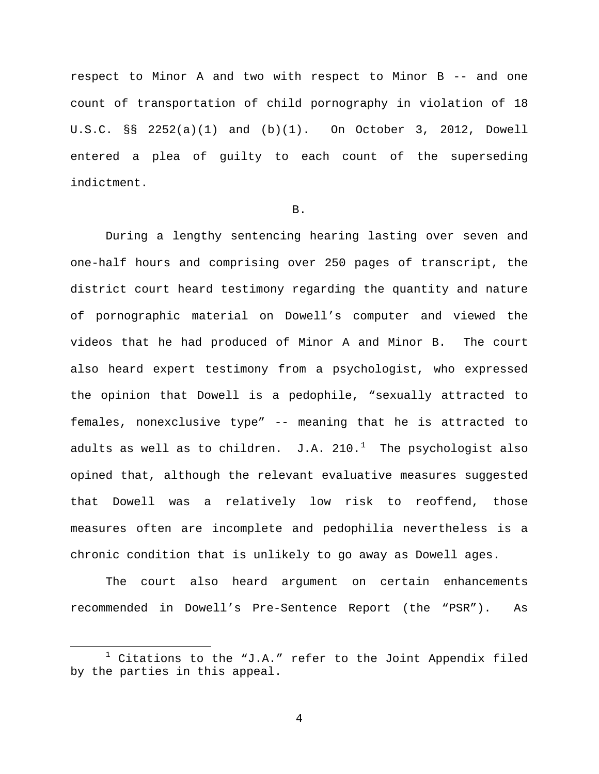respect to Minor A and two with respect to Minor B -- and one count of transportation of child pornography in violation of 18 U.S.C. §§ 2252(a)(1) and (b)(1). On October 3, 2012, Dowell entered a plea of guilty to each count of the superseding indictment.

## B.

During a lengthy sentencing hearing lasting over seven and one-half hours and comprising over 250 pages of transcript, the district court heard testimony regarding the quantity and nature of pornographic material on Dowell's computer and viewed the videos that he had produced of Minor A and Minor B. The court also heard expert testimony from a psychologist, who expressed the opinion that Dowell is a pedophile, "sexually attracted to females, nonexclusive type" -- meaning that he is attracted to adults as well as to children. J.A. 2[1](#page-3-0)0. $^1$  The psychologist also opined that, although the relevant evaluative measures suggested that Dowell was a relatively low risk to reoffend, those measures often are incomplete and pedophilia nevertheless is a chronic condition that is unlikely to go away as Dowell ages.

The court also heard argument on certain enhancements recommended in Dowell's Pre-Sentence Report (the "PSR"). As

<span id="page-3-0"></span> $1$  Citations to the "J.A." refer to the Joint Appendix filed by the parties in this appeal.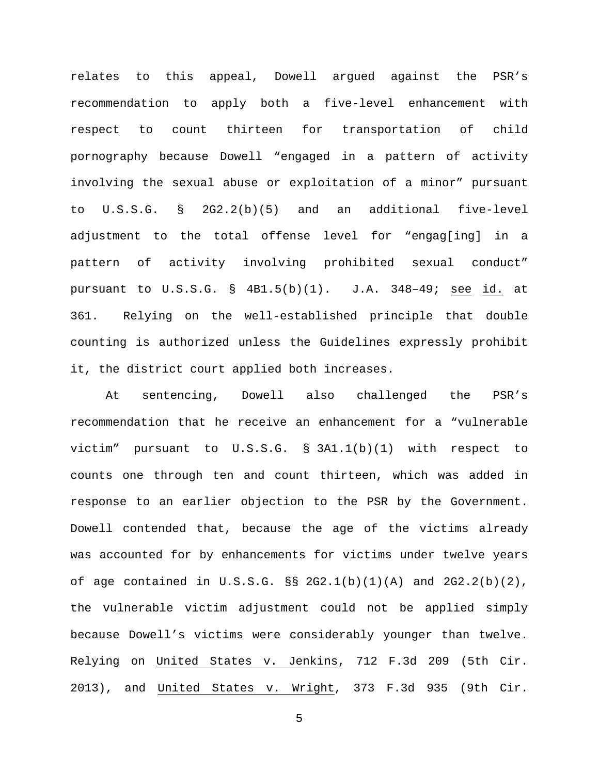relates to this appeal, Dowell argued against the PSR's recommendation to apply both a five-level enhancement with respect to count thirteen for transportation of child pornography because Dowell "engaged in a pattern of activity involving the sexual abuse or exploitation of a minor" pursuant to U.S.S.G. § 2G2.2(b)(5) and an additional five-level adjustment to the total offense level for "engag[ing] in a pattern of activity involving prohibited sexual conduct" pursuant to U.S.S.G. § 4B1.5(b)(1). J.A. 348–49; see id. at 361. Relying on the well-established principle that double counting is authorized unless the Guidelines expressly prohibit it, the district court applied both increases.

At sentencing, Dowell also challenged the PSR's recommendation that he receive an enhancement for a "vulnerable victim" pursuant to U.S.S.G. § 3A1.1(b)(1) with respect to counts one through ten and count thirteen, which was added in response to an earlier objection to the PSR by the Government. Dowell contended that, because the age of the victims already was accounted for by enhancements for victims under twelve years of age contained in U.S.S.G.  $\S$  2G2.1(b)(1)(A) and 2G2.2(b)(2), the vulnerable victim adjustment could not be applied simply because Dowell's victims were considerably younger than twelve. Relying on United States v. Jenkins, 712 F.3d 209 (5th Cir. 2013), and United States v. Wright, 373 F.3d 935 (9th Cir.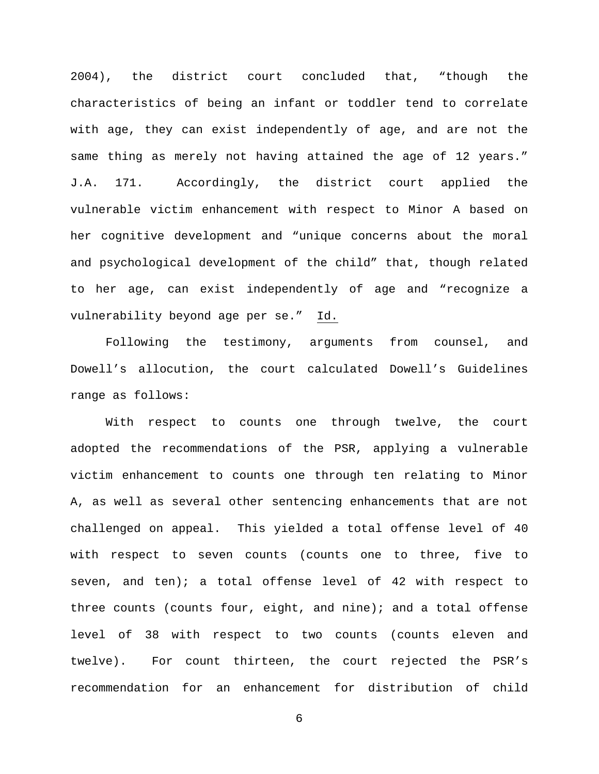2004), the district court concluded that, "though the characteristics of being an infant or toddler tend to correlate with age, they can exist independently of age, and are not the same thing as merely not having attained the age of 12 years." J.A. 171. Accordingly, the district court applied the vulnerable victim enhancement with respect to Minor A based on her cognitive development and "unique concerns about the moral and psychological development of the child" that, though related to her age, can exist independently of age and "recognize a vulnerability beyond age per se." Id.

Following the testimony, arguments from counsel, and Dowell's allocution, the court calculated Dowell's Guidelines range as follows:

With respect to counts one through twelve, the court adopted the recommendations of the PSR, applying a vulnerable victim enhancement to counts one through ten relating to Minor A, as well as several other sentencing enhancements that are not challenged on appeal. This yielded a total offense level of 40 with respect to seven counts (counts one to three, five to seven, and ten); a total offense level of 42 with respect to three counts (counts four, eight, and nine); and a total offense level of 38 with respect to two counts (counts eleven and twelve). For count thirteen, the court rejected the PSR's recommendation for an enhancement for distribution of child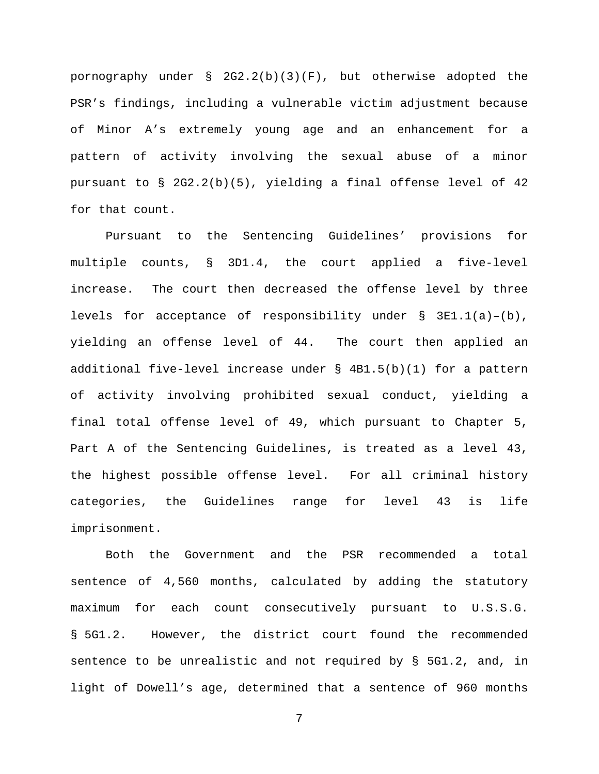pornography under § 2G2.2(b)(3)(F), but otherwise adopted the PSR's findings, including a vulnerable victim adjustment because of Minor A's extremely young age and an enhancement for a pattern of activity involving the sexual abuse of a minor pursuant to § 2G2.2(b)(5), yielding a final offense level of 42 for that count.

Pursuant to the Sentencing Guidelines' provisions for multiple counts, § 3D1.4, the court applied a five-level increase. The court then decreased the offense level by three levels for acceptance of responsibility under  $\S$  3E1.1(a)-(b), yielding an offense level of 44. The court then applied an additional five-level increase under § 4B1.5(b)(1) for a pattern of activity involving prohibited sexual conduct, yielding a final total offense level of 49, which pursuant to Chapter 5, Part A of the Sentencing Guidelines, is treated as a level 43, the highest possible offense level. For all criminal history categories, the Guidelines range for level 43 is life imprisonment.

Both the Government and the PSR recommended a total sentence of 4,560 months, calculated by adding the statutory maximum for each count consecutively pursuant to U.S.S.G. § 5G1.2. However, the district court found the recommended sentence to be unrealistic and not required by § 5G1.2, and, in light of Dowell's age, determined that a sentence of 960 months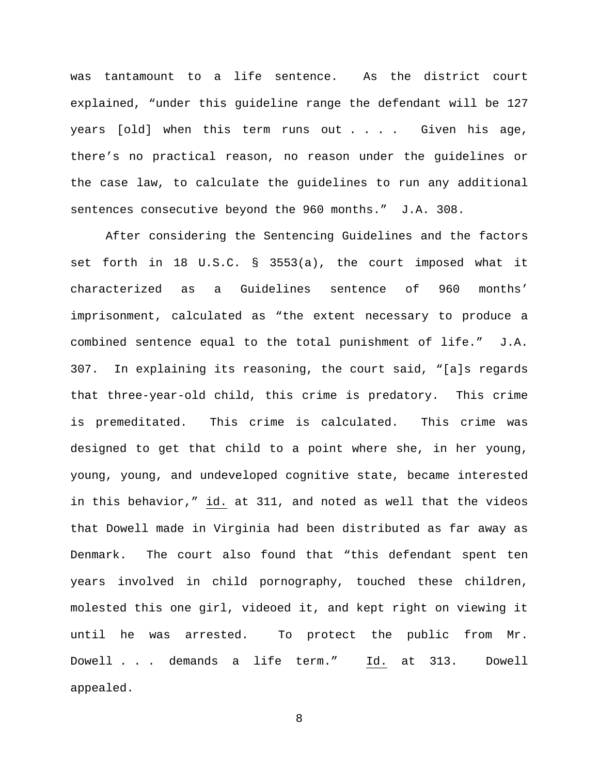was tantamount to a life sentence. As the district court explained, "under this guideline range the defendant will be 127 years  $[old]$  when this term runs out  $\ldots$  . . . Given his age, there's no practical reason, no reason under the guidelines or the case law, to calculate the guidelines to run any additional sentences consecutive beyond the 960 months." J.A. 308.

After considering the Sentencing Guidelines and the factors set forth in 18 U.S.C. § 3553(a), the court imposed what it characterized as a Guidelines sentence of 960 months' imprisonment, calculated as "the extent necessary to produce a combined sentence equal to the total punishment of life." J.A. 307. In explaining its reasoning, the court said, "[a]s regards that three-year-old child, this crime is predatory. This crime is premeditated. This crime is calculated. This crime was designed to get that child to a point where she, in her young, young, young, and undeveloped cognitive state, became interested in this behavior," id. at 311, and noted as well that the videos that Dowell made in Virginia had been distributed as far away as Denmark. The court also found that "this defendant spent ten years involved in child pornography, touched these children, molested this one girl, videoed it, and kept right on viewing it until he was arrested. To protect the public from Mr. Dowell . . . demands a life term." Id. at 313. Dowell appealed.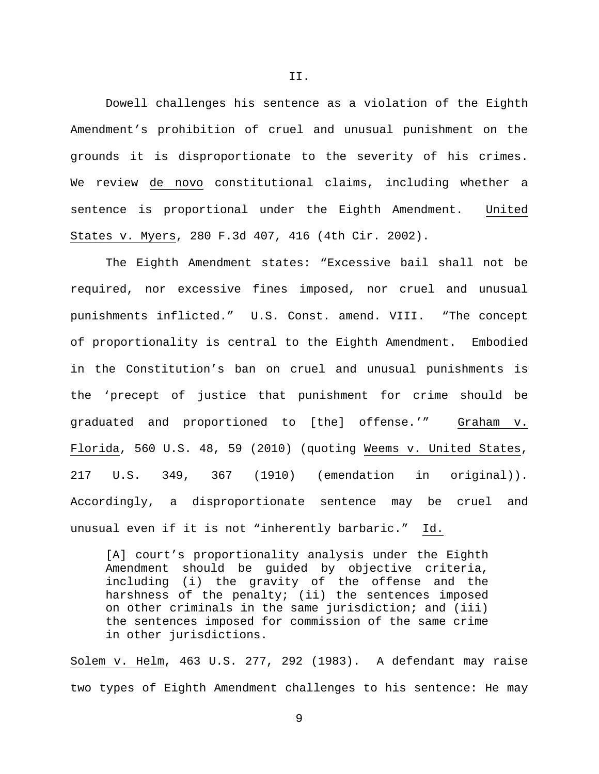Dowell challenges his sentence as a violation of the Eighth Amendment's prohibition of cruel and unusual punishment on the grounds it is disproportionate to the severity of his crimes. We review de novo constitutional claims, including whether a sentence is proportional under the Eighth Amendment. United States v. Myers, 280 F.3d 407, 416 (4th Cir. 2002).

The Eighth Amendment states: "Excessive bail shall not be required, nor excessive fines imposed, nor cruel and unusual punishments inflicted." U.S. Const. amend. VIII. "The concept of proportionality is central to the Eighth Amendment. Embodied in the Constitution's ban on cruel and unusual punishments is the 'precept of justice that punishment for crime should be graduated and proportioned to [the] offense.'" Graham v. Florida, 560 U.S. 48, 59 (2010) (quoting Weems v. United States, 217 U.S. 349, 367 (1910) (emendation in original)). Accordingly, a disproportionate sentence may be cruel and unusual even if it is not "inherently barbaric." Id.

[A] court's proportionality analysis under the Eighth Amendment should be guided by objective criteria, including (i) the gravity of the offense and the harshness of the penalty; (ii) the sentences imposed on other criminals in the same jurisdiction; and (iii) the sentences imposed for commission of the same crime in other jurisdictions.

Solem v. Helm, 463 U.S. 277, 292 (1983). A defendant may raise two types of Eighth Amendment challenges to his sentence: He may

9

II.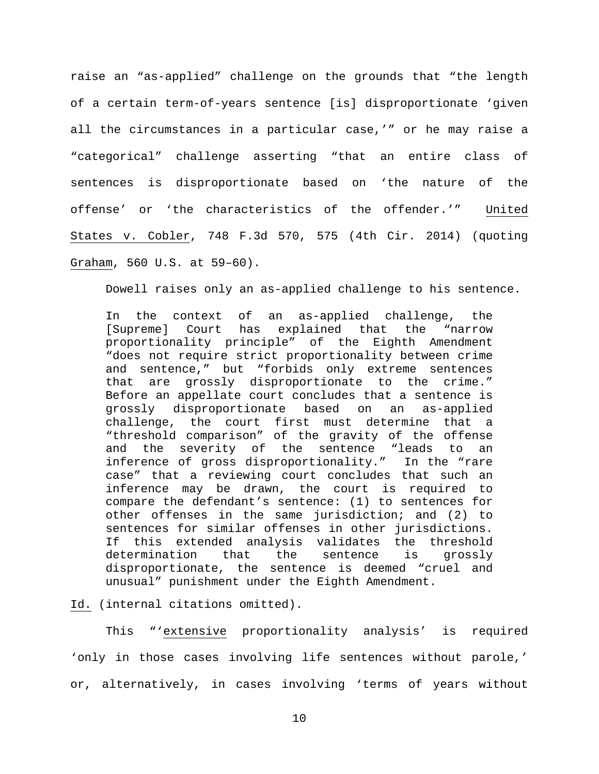raise an "as-applied" challenge on the grounds that "the length of a certain term-of-years sentence [is] disproportionate 'given all the circumstances in a particular case,'" or he may raise a "categorical" challenge asserting "that an entire class of sentences is disproportionate based on 'the nature of the offense' or 'the characteristics of the offender.'" United States v. Cobler, 748 F.3d 570, 575 (4th Cir. 2014) (quoting Graham, 560 U.S. at 59–60).

Dowell raises only an as-applied challenge to his sentence.

In the context of an as-applied challenge, the<br>[Supreme] Court has explained that the "narrow [Supreme] Court has proportionality principle" of the Eighth Amendment "does not require strict proportionality between crime and sentence," but "forbids only extreme sentences that are grossly disproportionate to the crime." Before an appellate court concludes that a sentence is<br>grossly disproportionate based on an as-applied grossly disproportionate based on an as-applied challenge, the court first must determine that a "threshold comparison" of the gravity of the offense and the severity of the sentence "leads to an inference of gross disproportionality." In the "rare case" that a reviewing court concludes that such an inference may be drawn, the court is required to compare the defendant's sentence: (1) to sentences for other offenses in the same jurisdiction; and (2) to sentences for similar offenses in other jurisdictions.<br>If this extended analysis validates the threshold this extended analysis validates the threshold<br>ermination that the sentence is grossly determination that the sentence is grossly disproportionate, the sentence is deemed "cruel and unusual" punishment under the Eighth Amendment.

Id. (internal citations omitted).

This "'extensive proportionality analysis' is required 'only in those cases involving life sentences without parole,' or, alternatively, in cases involving 'terms of years without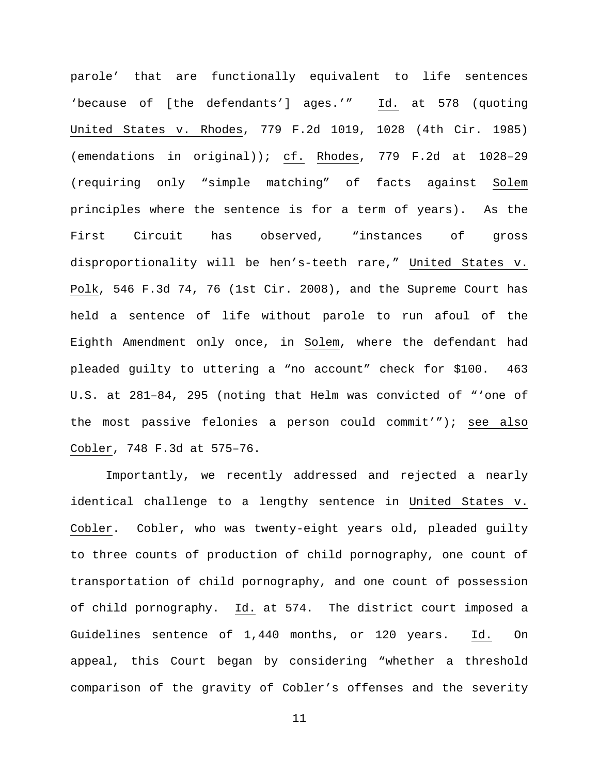parole' that are functionally equivalent to life sentences 'because of [the defendants'] ages.'" Id. at 578 (quoting United States v. Rhodes, 779 F.2d 1019, 1028 (4th Cir. 1985) (emendations in original)); cf. Rhodes, 779 F.2d at 1028–29 (requiring only "simple matching" of facts against Solem principles where the sentence is for a term of years). As the First Circuit has observed, "instances of gross disproportionality will be hen's-teeth rare," United States v. Polk, 546 F.3d 74, 76 (1st Cir. 2008), and the Supreme Court has held a sentence of life without parole to run afoul of the Eighth Amendment only once, in Solem, where the defendant had pleaded guilty to uttering a "no account" check for \$100. 463 U.S. at 281–84, 295 (noting that Helm was convicted of "'one of the most passive felonies a person could commit'"); see also Cobler, 748 F.3d at 575–76.

Importantly, we recently addressed and rejected a nearly identical challenge to a lengthy sentence in United States v. Cobler. Cobler, who was twenty-eight years old, pleaded guilty to three counts of production of child pornography, one count of transportation of child pornography, and one count of possession of child pornography. Id. at 574. The district court imposed a Guidelines sentence of 1,440 months, or 120 years. Id. On appeal, this Court began by considering "whether a threshold comparison of the gravity of Cobler's offenses and the severity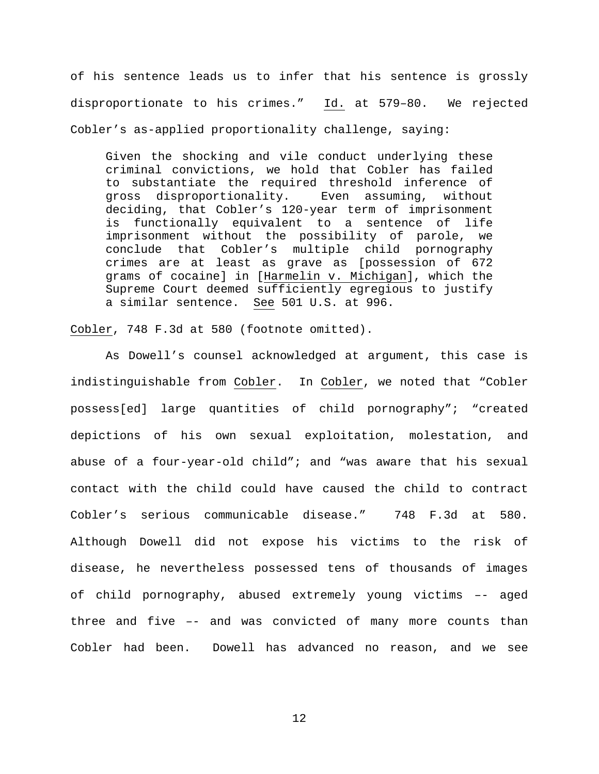of his sentence leads us to infer that his sentence is grossly disproportionate to his crimes." Id. at 579–80. We rejected Cobler's as-applied proportionality challenge, saying:

Given the shocking and vile conduct underlying these criminal convictions, we hold that Cobler has failed to substantiate the required threshold inference of gross disproportionality. Even assuming, without deciding, that Cobler's 120-year term of imprisonment is functionally equivalent to a sentence of life imprisonment without the possibility of parole, we conclude that Cobler's multiple child pornography crimes are at least as grave as [possession of 672 grams of cocaine] in [Harmelin v. Michigan], which the Supreme Court deemed sufficiently egregious to justify a similar sentence. See 501 U.S. at 996.

Cobler, 748 F.3d at 580 (footnote omitted).

As Dowell's counsel acknowledged at argument, this case is indistinguishable from Cobler. In Cobler, we noted that "Cobler possess[ed] large quantities of child pornography"; "created depictions of his own sexual exploitation, molestation, and abuse of a four-year-old child"; and "was aware that his sexual contact with the child could have caused the child to contract Cobler's serious communicable disease." 748 F.3d at 580. Although Dowell did not expose his victims to the risk of disease, he nevertheless possessed tens of thousands of images of child pornography, abused extremely young victims –- aged three and five –- and was convicted of many more counts than Cobler had been. Dowell has advanced no reason, and we see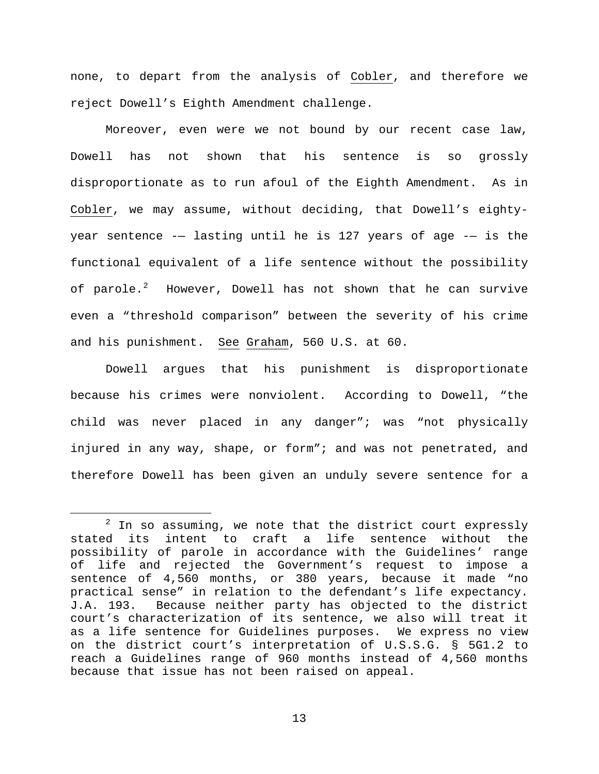none, to depart from the analysis of Cobler, and therefore we reject Dowell's Eighth Amendment challenge.

Moreover, even were we not bound by our recent case law, Dowell has not shown that his sentence is so grossly disproportionate as to run afoul of the Eighth Amendment. As in Cobler, we may assume, without deciding, that Dowell's eightyyear sentence -— lasting until he is 127 years of age -— is the functional equivalent of a life sentence without the possibility of parole.<sup>[2](#page-12-0)</sup> However, Dowell has not shown that he can survive even a "threshold comparison" between the severity of his crime and his punishment. See Graham, 560 U.S. at 60.

Dowell argues that his punishment is disproportionate because his crimes were nonviolent. According to Dowell, "the child was never placed in any danger"; was "not physically injured in any way, shape, or form"; and was not penetrated, and therefore Dowell has been given an unduly severe sentence for a

<span id="page-12-0"></span> $2$  In so assuming, we note that the district court expressly stated its intent to craft a life sentence without the possibility of parole in accordance with the Guidelines' range of life and rejected the Government's request to impose a sentence of 4,560 months, or 380 years, because it made "no practical sense" in relation to the defendant's life expectancy. J.A. 193. Because neither party has objected to the district court's characterization of its sentence, we also will treat it as a life sentence for Guidelines purposes. We express no view on the district court's interpretation of U.S.S.G. § 5G1.2 to reach a Guidelines range of 960 months instead of 4,560 months because that issue has not been raised on appeal.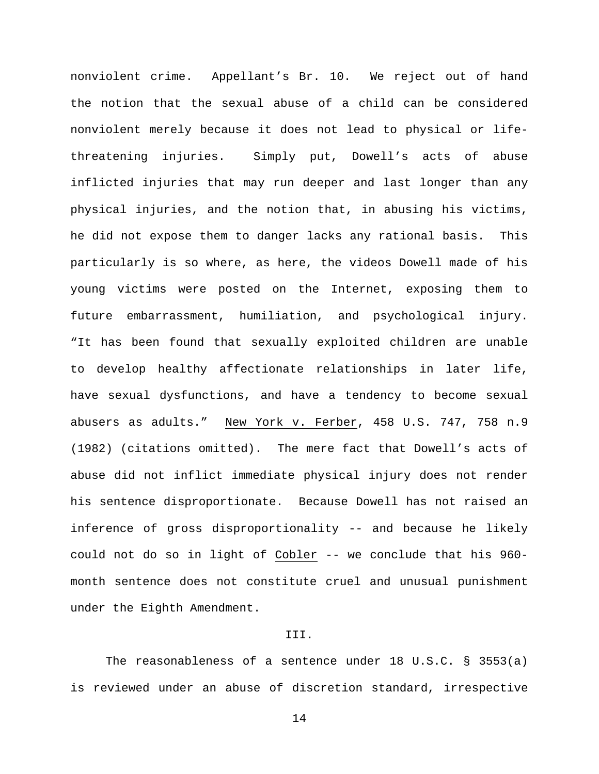nonviolent crime. Appellant's Br. 10. We reject out of hand the notion that the sexual abuse of a child can be considered nonviolent merely because it does not lead to physical or lifethreatening injuries. Simply put, Dowell's acts of abuse inflicted injuries that may run deeper and last longer than any physical injuries, and the notion that, in abusing his victims, he did not expose them to danger lacks any rational basis. This particularly is so where, as here, the videos Dowell made of his young victims were posted on the Internet, exposing them to future embarrassment, humiliation, and psychological injury. "It has been found that sexually exploited children are unable to develop healthy affectionate relationships in later life, have sexual dysfunctions, and have a tendency to become sexual abusers as adults." New York v. Ferber, 458 U.S. 747, 758 n.9 (1982) (citations omitted). The mere fact that Dowell's acts of abuse did not inflict immediate physical injury does not render his sentence disproportionate. Because Dowell has not raised an inference of gross disproportionality -- and because he likely could not do so in light of Cobler -- we conclude that his 960 month sentence does not constitute cruel and unusual punishment under the Eighth Amendment.

# III.

The reasonableness of a sentence under 18 U.S.C. § 3553(a) is reviewed under an abuse of discretion standard, irrespective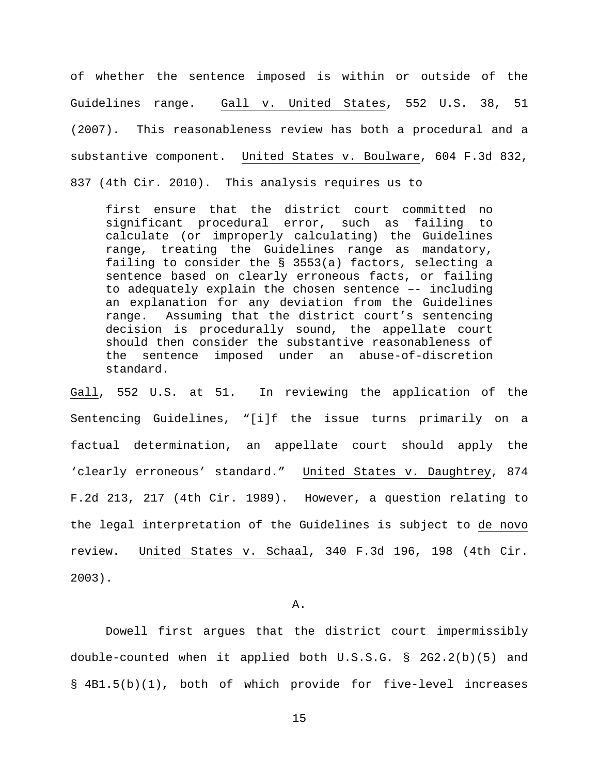of whether the sentence imposed is within or outside of the Guidelines range. Gall v. United States, 552 U.S. 38, 51 (2007). This reasonableness review has both a procedural and a substantive component. United States v. Boulware, 604 F.3d 832, 837 (4th Cir. 2010). This analysis requires us to

first ensure that the district court committed no significant procedural error, such as failing to calculate (or improperly calculating) the Guidelines range, treating the Guidelines range as mandatory, failing to consider the § 3553(a) factors, selecting a sentence based on clearly erroneous facts, or failing to adequately explain the chosen sentence –- including an explanation for any deviation from the Guidelines range. Assuming that the district court's sentencing decision is procedurally sound, the appellate court should then consider the substantive reasonableness of the sentence imposed under an abuse-of-discretion standard.

Gall, 552 U.S. at 51. In reviewing the application of the Sentencing Guidelines, "[i]f the issue turns primarily on a factual determination, an appellate court should apply the 'clearly erroneous' standard." United States v. Daughtrey, 874 F.2d 213, 217 (4th Cir. 1989). However, a question relating to the legal interpretation of the Guidelines is subject to de novo review. United States v. Schaal, 340 F.3d 196, 198 (4th Cir. 2003).

#### A.

Dowell first argues that the district court impermissibly double-counted when it applied both U.S.S.G. § 2G2.2(b)(5) and § 4B1.5(b)(1), both of which provide for five-level increases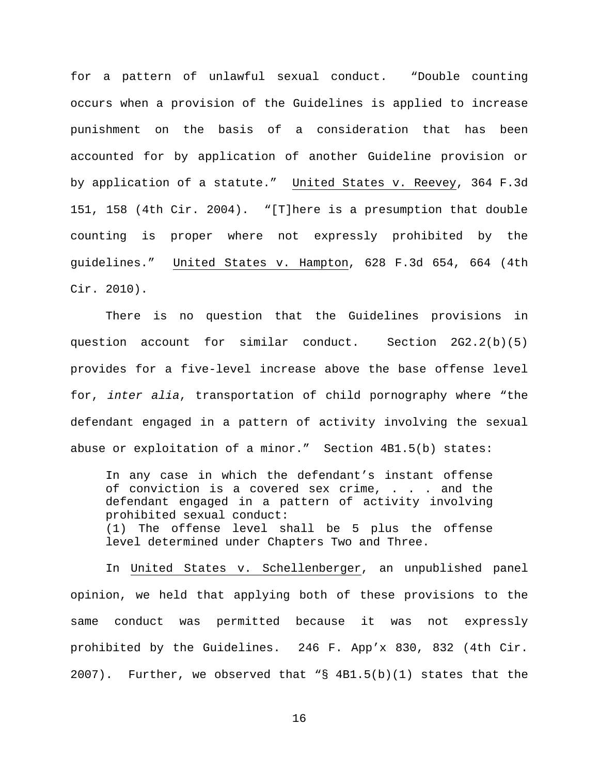for a pattern of unlawful sexual conduct. "Double counting occurs when a provision of the Guidelines is applied to increase punishment on the basis of a consideration that has been accounted for by application of another Guideline provision or by application of a statute." United States v. Reevey, 364 F.3d 151, 158 (4th Cir. 2004). "[T]here is a presumption that double counting is proper where not expressly prohibited by the guidelines." United States v. Hampton, 628 F.3d 654, 664 (4th Cir. 2010).

There is no question that the Guidelines provisions in question account for similar conduct. Section 2G2.2(b)(5) provides for a five-level increase above the base offense level for, *inter alia*, transportation of child pornography where "the defendant engaged in a pattern of activity involving the sexual abuse or exploitation of a minor." Section 4B1.5(b) states:

In any case in which the defendant's instant offense of conviction is a covered sex crime, . . . and the defendant engaged in a pattern of activity involving prohibited sexual conduct: (1) The offense level shall be 5 plus the offense level determined under Chapters Two and Three.

In United States v. Schellenberger, an unpublished panel opinion, we held that applying both of these provisions to the same conduct was permitted because it was not expressly prohibited by the Guidelines. 246 F. App'x 830, 832 (4th Cir.  $2007$ ). Further, we observed that "§ 4B1.5(b)(1) states that the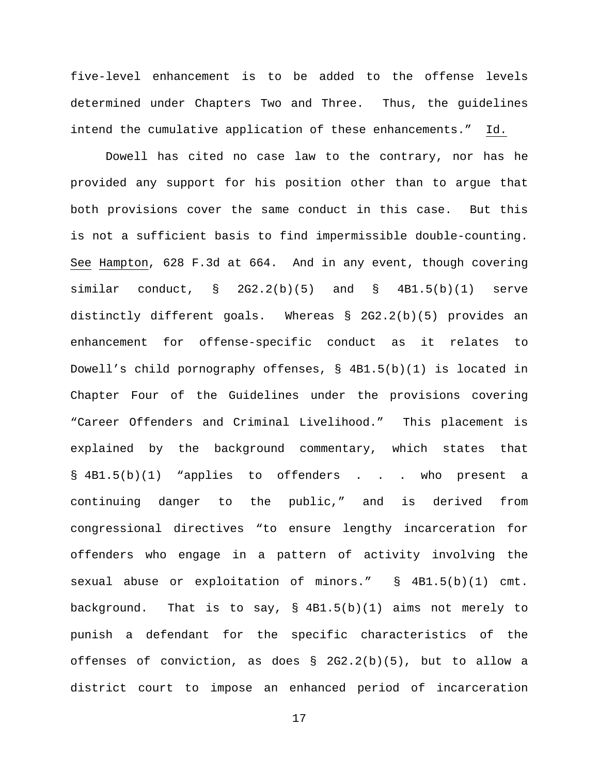five-level enhancement is to be added to the offense levels determined under Chapters Two and Three. Thus, the guidelines intend the cumulative application of these enhancements." Id.

Dowell has cited no case law to the contrary, nor has he provided any support for his position other than to argue that both provisions cover the same conduct in this case. But this is not a sufficient basis to find impermissible double-counting. See Hampton, 628 F.3d at 664. And in any event, though covering similar conduct,  $\S$  2G2.2(b)(5) and  $\S$  4B1.5(b)(1) serve distinctly different goals. Whereas § 2G2.2(b)(5) provides an enhancement for offense-specific conduct as it relates to Dowell's child pornography offenses, § 4B1.5(b)(1) is located in Chapter Four of the Guidelines under the provisions covering "Career Offenders and Criminal Livelihood." This placement is explained by the background commentary, which states that § 4B1.5(b)(1) "applies to offenders . . . who present a continuing danger to the public," and is derived from congressional directives "to ensure lengthy incarceration for offenders who engage in a pattern of activity involving the sexual abuse or exploitation of minors." § 4B1.5(b)(1) cmt. background. That is to say, § 4B1.5(b)(1) aims not merely to punish a defendant for the specific characteristics of the offenses of conviction, as does § 2G2.2(b)(5), but to allow a district court to impose an enhanced period of incarceration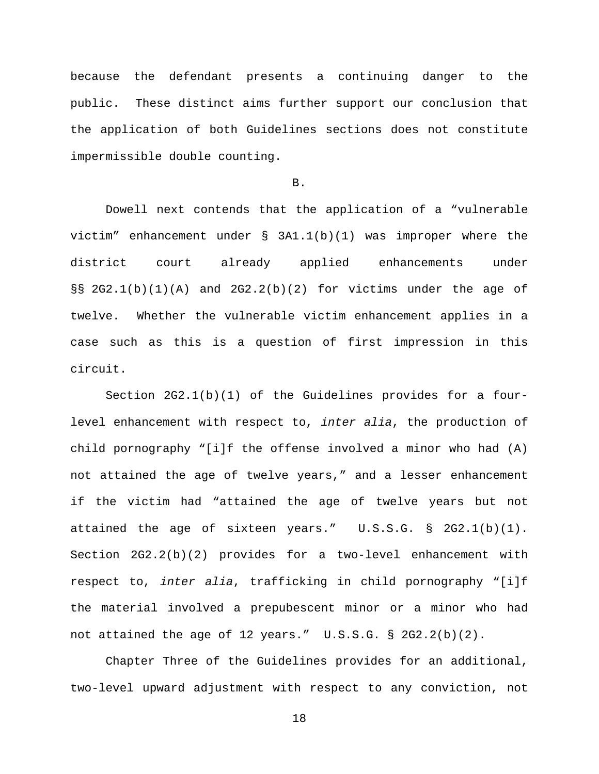because the defendant presents a continuing danger to the public. These distinct aims further support our conclusion that the application of both Guidelines sections does not constitute impermissible double counting.

### B.

Dowell next contends that the application of a "vulnerable victim" enhancement under § 3A1.1(b)(1) was improper where the district court already applied enhancements under §§ 2G2.1(b)(1)(A) and 2G2.2(b)(2) for victims under the age of twelve. Whether the vulnerable victim enhancement applies in a case such as this is a question of first impression in this circuit.

Section 2G2.1(b)(1) of the Guidelines provides for a fourlevel enhancement with respect to, *inter alia*, the production of child pornography "[i]f the offense involved a minor who had  $(A)$ not attained the age of twelve years," and a lesser enhancement if the victim had "attained the age of twelve years but not attained the age of sixteen years." U.S.S.G. § 2G2.1(b)(1). Section 2G2.2(b)(2) provides for a two-level enhancement with respect to, *inter alia*, trafficking in child pornography "[i]f the material involved a prepubescent minor or a minor who had not attained the age of 12 years." U.S.S.G. § 2G2.2(b)(2).

Chapter Three of the Guidelines provides for an additional, two-level upward adjustment with respect to any conviction, not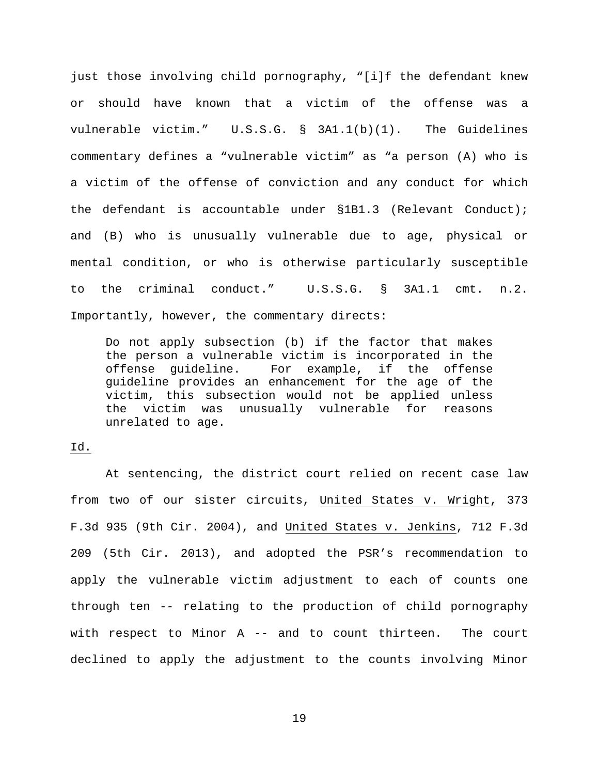just those involving child pornography, "[i]f the defendant knew or should have known that a victim of the offense was a vulnerable victim." U.S.S.G. § 3A1.1(b)(1). The Guidelines commentary defines a "vulnerable victim" as "a person (A) who is a victim of the offense of conviction and any conduct for which the defendant is accountable under §1B1.3 (Relevant Conduct); and (B) who is unusually vulnerable due to age, physical or mental condition, or who is otherwise particularly susceptible to the criminal conduct." U.S.S.G. § 3A1.1 cmt. n.2. Importantly, however, the commentary directs:

Do not apply subsection (b) if the factor that makes the person a vulnerable victim is incorporated in the offense guideline. For example, if the offense guideline provides an enhancement for the age of the victim, this subsection would not be applied unless<br>the victim was unusually vulnerable for reasons unusually vulnerable for reasons unrelated to age.

## Id.

At sentencing, the district court relied on recent case law from two of our sister circuits, United States v. Wright, 373 F.3d 935 (9th Cir. 2004), and United States v. Jenkins, 712 F.3d 209 (5th Cir. 2013), and adopted the PSR's recommendation to apply the vulnerable victim adjustment to each of counts one through ten -- relating to the production of child pornography with respect to Minor A -- and to count thirteen. The court declined to apply the adjustment to the counts involving Minor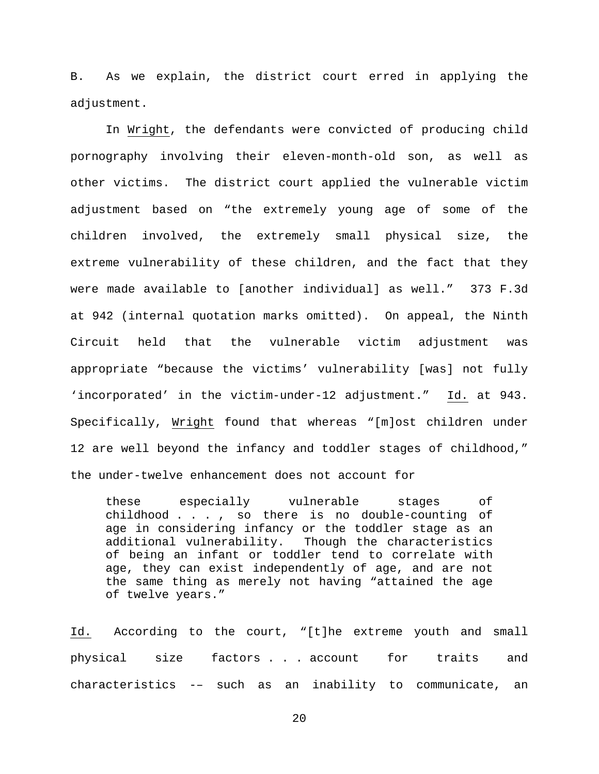B. As we explain, the district court erred in applying the adjustment.

In Wright, the defendants were convicted of producing child pornography involving their eleven-month-old son, as well as other victims. The district court applied the vulnerable victim adjustment based on "the extremely young age of some of the children involved, the extremely small physical size, the extreme vulnerability of these children, and the fact that they were made available to [another individual] as well." 373 F.3d at 942 (internal quotation marks omitted). On appeal, the Ninth Circuit held that the vulnerable victim adjustment was appropriate "because the victims' vulnerability [was] not fully 'incorporated' in the victim-under-12 adjustment." Id. at 943. Specifically, Wright found that whereas "[m]ost children under 12 are well beyond the infancy and toddler stages of childhood," the under-twelve enhancement does not account for

these especially vulnerable stages of childhood . . . , so there is no double-counting of age in considering infancy or the toddler stage as an additional vulnerability. Though the characteristics of being an infant or toddler tend to correlate with age, they can exist independently of age, and are not the same thing as merely not having "attained the age of twelve years."

Id. According to the court, "[t]he extreme youth and small physical size factors . . . account for traits and characteristics -– such as an inability to communicate, an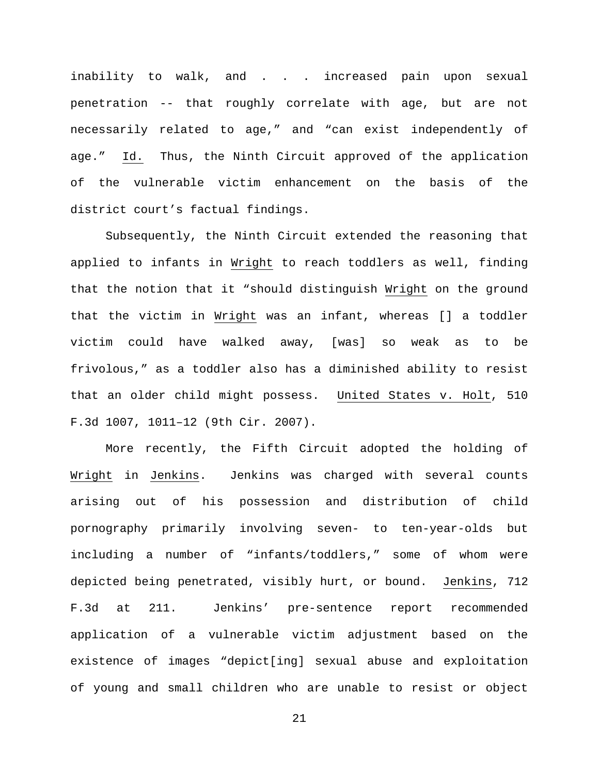inability to walk, and . . . increased pain upon sexual penetration -- that roughly correlate with age, but are not necessarily related to age," and "can exist independently of age." Id. Thus, the Ninth Circuit approved of the application of the vulnerable victim enhancement on the basis of the district court's factual findings.

Subsequently, the Ninth Circuit extended the reasoning that applied to infants in Wright to reach toddlers as well, finding that the notion that it "should distinguish Wright on the ground that the victim in Wright was an infant, whereas [] a toddler victim could have walked away, [was] so weak as to be frivolous," as a toddler also has a diminished ability to resist that an older child might possess. United States v. Holt, 510 F.3d 1007, 1011–12 (9th Cir. 2007).

More recently, the Fifth Circuit adopted the holding of Wright in Jenkins. Jenkins was charged with several counts arising out of his possession and distribution of child pornography primarily involving seven- to ten-year-olds but including a number of "infants/toddlers," some of whom were depicted being penetrated, visibly hurt, or bound. Jenkins, 712 F.3d at 211. Jenkins' pre-sentence report recommended application of a vulnerable victim adjustment based on the existence of images "depict[ing] sexual abuse and exploitation of young and small children who are unable to resist or object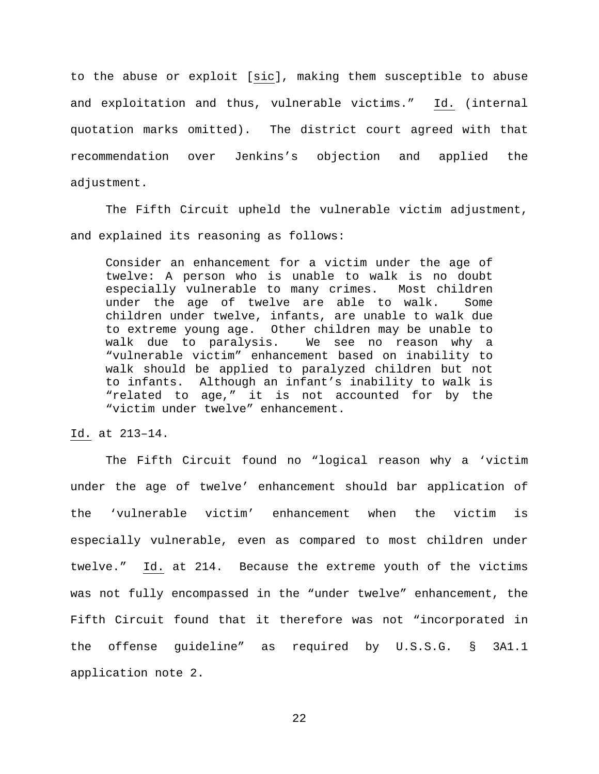to the abuse or exploit [sic], making them susceptible to abuse and exploitation and thus, vulnerable victims." Id. (internal quotation marks omitted). The district court agreed with that recommendation over Jenkins's objection and applied the adjustment.

The Fifth Circuit upheld the vulnerable victim adjustment, and explained its reasoning as follows:

Consider an enhancement for a victim under the age of twelve: A person who is unable to walk is no doubt especially vulnerable to many crimes. Most children under the age of twelve are able to walk. Some children under twelve, infants, are unable to walk due to extreme young age. Other children may be unable to<br>walk due to paralysis. We see no reason why a We see no reason why a "vulnerable victim" enhancement based on inability to walk should be applied to paralyzed children but not to infants. Although an infant's inability to walk is "related to age," it is not accounted for by the "victim under twelve" enhancement.

Id. at 213–14.

The Fifth Circuit found no "logical reason why a 'victim under the age of twelve' enhancement should bar application of the 'vulnerable victim' enhancement when the victim is especially vulnerable, even as compared to most children under twelve." Id. at 214. Because the extreme youth of the victims was not fully encompassed in the "under twelve" enhancement, the Fifth Circuit found that it therefore was not "incorporated in the offense guideline" as required by U.S.S.G. § 3A1.1 application note 2.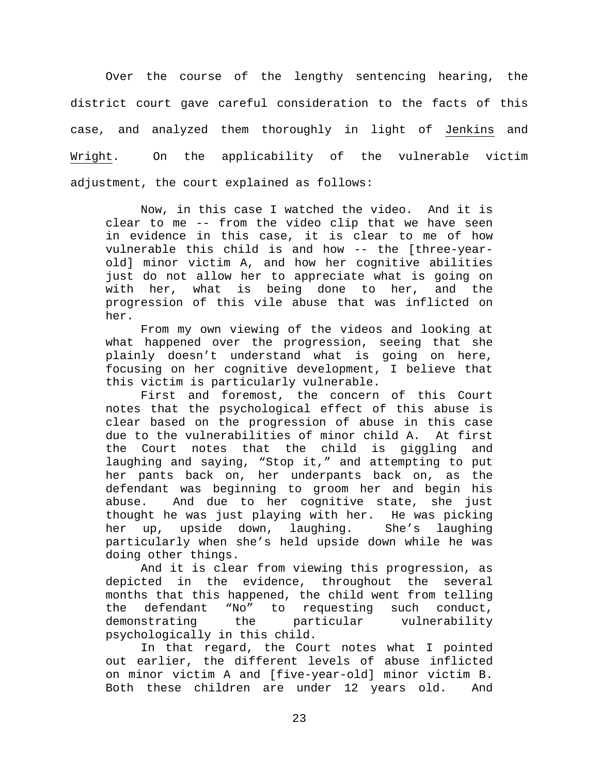Over the course of the lengthy sentencing hearing, the district court gave careful consideration to the facts of this case, and analyzed them thoroughly in light of Jenkins and Wright. On the applicability of the vulnerable victim adjustment, the court explained as follows:

Now, in this case I watched the video. And it is clear to me -- from the video clip that we have seen in evidence in this case, it is clear to me of how vulnerable this child is and how -- the [three-yearold] minor victim A, and how her cognitive abilities just do not allow her to appreciate what is going on with her, what is being done to her, and the progression of this vile abuse that was inflicted on her.

From my own viewing of the videos and looking at what happened over the progression, seeing that she plainly doesn't understand what is going on here, focusing on her cognitive development, I believe that this victim is particularly vulnerable.

First and foremost, the concern of this Court notes that the psychological effect of this abuse is clear based on the progression of abuse in this case due to the vulnerabilities of minor child A. At first the Court notes that the child is giggling and laughing and saying, "Stop it," and attempting to put her pants back on, her underpants back on, as the defendant was beginning to groom her and begin his abuse. And due to her cognitive state, she just thought he was just playing with her. He was picking<br>her up, upside down, laughing. She's laughing her up, upside down, laughing. particularly when she's held upside down while he was doing other things.

And it is clear from viewing this progression, as depicted in the evidence, throughout the several months that this happened, the child went from telling<br>the defendant "No" to requesting such conduct, the defendant "No" to requesting such conduct,<br>demonstrating the particular vulnerability the particular vulnerability psychologically in this child.

In that regard, the Court notes what I pointed out earlier, the different levels of abuse inflicted on minor victim A and [five-year-old] minor victim B. Both these children are under 12 years old. And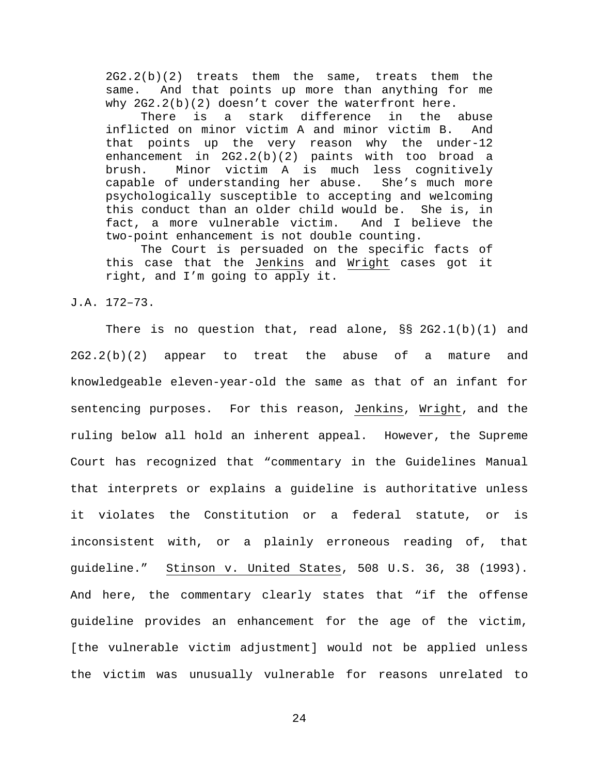2G2.2(b)(2) treats them the same, treats them the same. And that points up more than anything for me why  $2G2.2(b)(2)$  doesn't cover the waterfront here.

There is a stark difference in the abuse inflicted on minor victim A and minor victim B. And that points up the very reason why the under-12 enhancement in 2G2.2(b)(2) paints with too broad a brush. Minor victim A is much less cognitively<br>capable of understanding her abuse. She's much more capable of understanding her abuse. psychologically susceptible to accepting and welcoming this conduct than an older child would be. She is, in fact, a more vulnerable victim. And I believe the fact, a more vulnerable victim. two-point enhancement is not double counting.

The Court is persuaded on the specific facts of this case that the Jenkins and Wright cases got it right, and I'm going to apply it.

J.A. 172–73.

There is no question that, read alone, §§ 2G2.1(b)(1) and 2G2.2(b)(2) appear to treat the abuse of a mature and knowledgeable eleven-year-old the same as that of an infant for sentencing purposes. For this reason, Jenkins, Wright, and the ruling below all hold an inherent appeal. However, the Supreme Court has recognized that "commentary in the Guidelines Manual that interprets or explains a guideline is authoritative unless it violates the Constitution or a federal statute, or is inconsistent with, or a plainly erroneous reading of, that guideline." Stinson v. United States, 508 U.S. 36, 38 (1993). And here, the commentary clearly states that "if the offense guideline provides an enhancement for the age of the victim, [the vulnerable victim adjustment] would not be applied unless the victim was unusually vulnerable for reasons unrelated to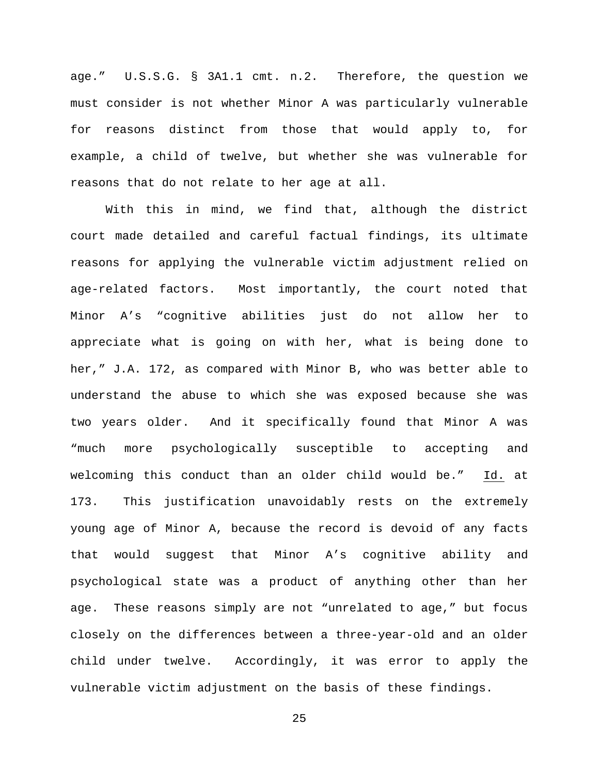age." U.S.S.G. § 3A1.1 cmt. n.2. Therefore, the question we must consider is not whether Minor A was particularly vulnerable for reasons distinct from those that would apply to, for example, a child of twelve, but whether she was vulnerable for reasons that do not relate to her age at all.

With this in mind, we find that, although the district court made detailed and careful factual findings, its ultimate reasons for applying the vulnerable victim adjustment relied on age-related factors. Most importantly, the court noted that Minor A's "cognitive abilities just do not allow her to appreciate what is going on with her, what is being done to her," J.A. 172, as compared with Minor B, who was better able to understand the abuse to which she was exposed because she was two years older. And it specifically found that Minor A was "much more psychologically susceptible to accepting and welcoming this conduct than an older child would be." Id. at 173. This justification unavoidably rests on the extremely young age of Minor A, because the record is devoid of any facts that would suggest that Minor A's cognitive ability and psychological state was a product of anything other than her age. These reasons simply are not "unrelated to age," but focus closely on the differences between a three-year-old and an older child under twelve. Accordingly, it was error to apply the vulnerable victim adjustment on the basis of these findings.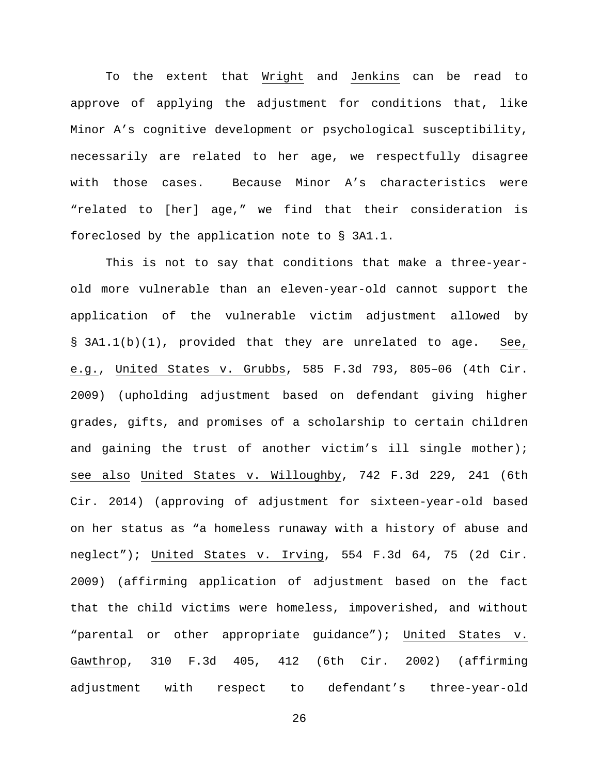To the extent that Wright and Jenkins can be read to approve of applying the adjustment for conditions that, like Minor A's cognitive development or psychological susceptibility, necessarily are related to her age, we respectfully disagree with those cases. Because Minor A's characteristics were "related to [her] age," we find that their consideration is foreclosed by the application note to § 3A1.1.

This is not to say that conditions that make a three-yearold more vulnerable than an eleven-year-old cannot support the application of the vulnerable victim adjustment allowed by § 3A1.1(b)(1), provided that they are unrelated to age. See, e.g., United States v. Grubbs, 585 F.3d 793, 805–06 (4th Cir. 2009) (upholding adjustment based on defendant giving higher grades, gifts, and promises of a scholarship to certain children and gaining the trust of another victim's ill single mother); see also United States v. Willoughby, 742 F.3d 229, 241 (6th Cir. 2014) (approving of adjustment for sixteen-year-old based on her status as "a homeless runaway with a history of abuse and neglect"); United States v. Irving, 554 F.3d 64, 75 (2d Cir. 2009) (affirming application of adjustment based on the fact that the child victims were homeless, impoverished, and without "parental or other appropriate guidance"); United States v. Gawthrop, 310 F.3d 405, 412 (6th Cir. 2002) (affirming adjustment with respect to defendant's three-year-old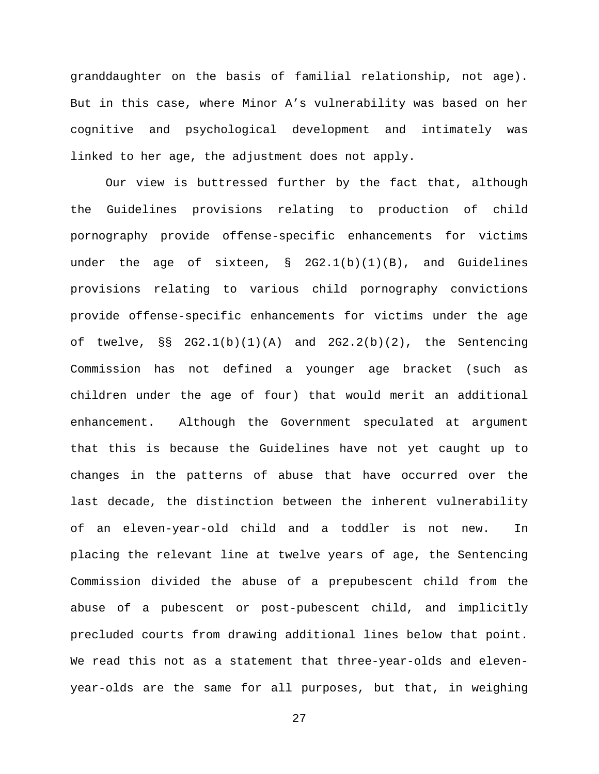granddaughter on the basis of familial relationship, not age). But in this case, where Minor A's vulnerability was based on her cognitive and psychological development and intimately was linked to her age, the adjustment does not apply.

Our view is buttressed further by the fact that, although the Guidelines provisions relating to production of child pornography provide offense-specific enhancements for victims under the age of sixteen, § 2G2.1(b)(1)(B), and Guidelines provisions relating to various child pornography convictions provide offense-specific enhancements for victims under the age of twelve,  $\S S$  2G2.1(b)(1)(A) and 2G2.2(b)(2), the Sentencing Commission has not defined a younger age bracket (such as children under the age of four) that would merit an additional enhancement. Although the Government speculated at argument that this is because the Guidelines have not yet caught up to changes in the patterns of abuse that have occurred over the last decade, the distinction between the inherent vulnerability of an eleven-year-old child and a toddler is not new. In placing the relevant line at twelve years of age, the Sentencing Commission divided the abuse of a prepubescent child from the abuse of a pubescent or post-pubescent child, and implicitly precluded courts from drawing additional lines below that point. We read this not as a statement that three-year-olds and elevenyear-olds are the same for all purposes, but that, in weighing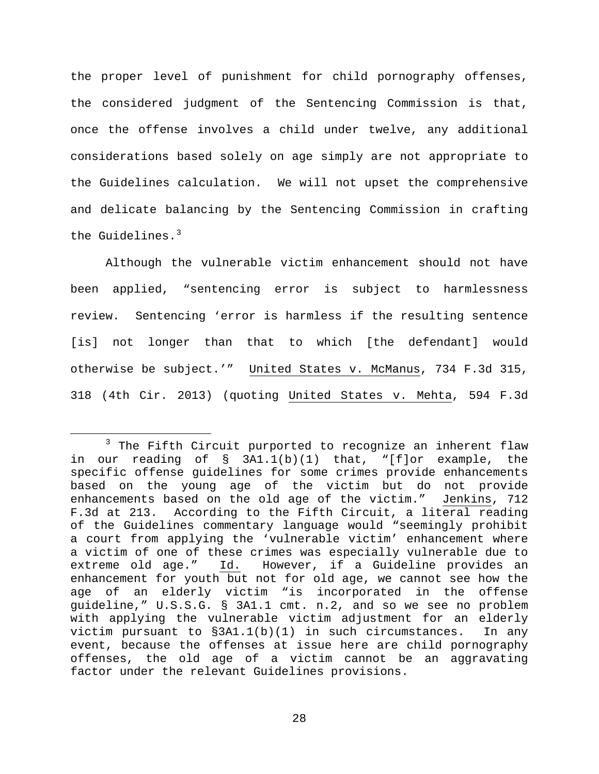the proper level of punishment for child pornography offenses, the considered judgment of the Sentencing Commission is that, once the offense involves a child under twelve, any additional considerations based solely on age simply are not appropriate to the Guidelines calculation. We will not upset the comprehensive and delicate balancing by the Sentencing Commission in crafting the Guidelines.<sup>[3](#page-27-0)</sup>

Although the vulnerable victim enhancement should not have been applied, "sentencing error is subject to harmlessness review. Sentencing 'error is harmless if the resulting sentence [is] not longer than that to which [the defendant] would otherwise be subject.'" United States v. McManus, 734 F.3d 315, 318 (4th Cir. 2013) (quoting United States v. Mehta, 594 F.3d

<span id="page-27-0"></span> $3$  The Fifth Circuit purported to recognize an inherent flaw in our reading of § 3A1.1(b)(1) that, "[f]or example, the specific offense guidelines for some crimes provide enhancements based on the young age of the victim but do not provide<br>enhancements based on the old age of the victim." Jenkins, 712 enhancements based on the old age of the victim." F.3d at 213. According to the Fifth Circuit, a literal reading of the Guidelines commentary language would "seemingly prohibit a court from applying the 'vulnerable victim' enhancement where a victim of one of these crimes was especially vulnerable due to extreme old age." Id. However, if a Guideline provides an enhancement for youth but not for old age, we cannot see how the age of an elderly victim "is incorporated in the offense guideline," U.S.S.G. § 3A1.1 cmt. n.2, and so we see no problem with applying the vulnerable victim adjustment for an elderly victim pursuant to  $\S 3A1.1(b)(1)$  in such circumstances. In any event, because the offenses at issue here are child pornography offenses, the old age of a victim cannot be an aggravating factor under the relevant Guidelines provisions.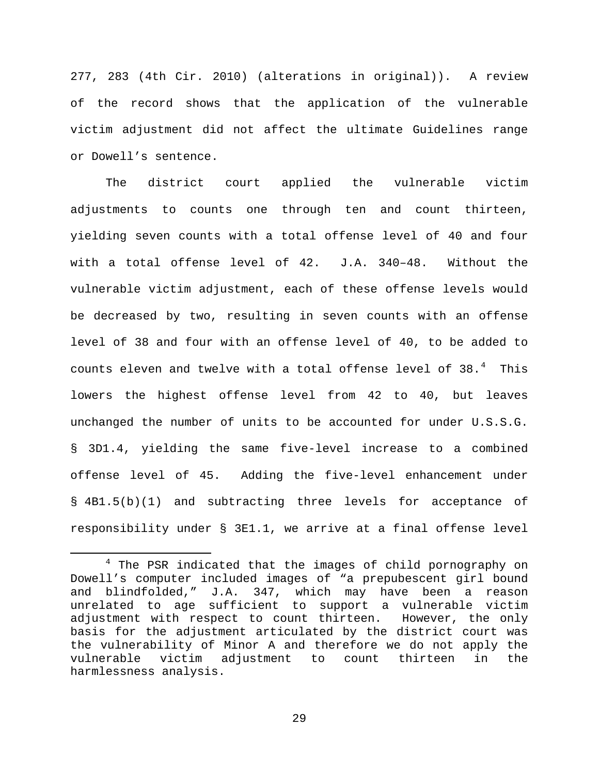277, 283 (4th Cir. 2010) (alterations in original)). A review of the record shows that the application of the vulnerable victim adjustment did not affect the ultimate Guidelines range or Dowell's sentence.

The district court applied the vulnerable victim adjustments to counts one through ten and count thirteen, yielding seven counts with a total offense level of 40 and four with a total offense level of 42. J.A. 340–48. Without the vulnerable victim adjustment, each of these offense levels would be decreased by two, resulting in seven counts with an offense level of 38 and four with an offense level of 40, to be added to counts eleven and twelve with a total offense level of  $38.^4$  $38.^4$  This lowers the highest offense level from 42 to 40, but leaves unchanged the number of units to be accounted for under U.S.S.G. § 3D1.4, yielding the same five-level increase to a combined offense level of 45. Adding the five-level enhancement under § 4B1.5(b)(1) and subtracting three levels for acceptance of responsibility under § 3E1.1, we arrive at a final offense level

<span id="page-28-0"></span><sup>&</sup>lt;sup>4</sup> The PSR indicated that the images of child pornography on Dowell's computer included images of "a prepubescent girl bound and blindfolded," J.A. 347, which may have been a reason unrelated to age sufficient to support a vulnerable victim<br>adjustment with respect to count thirteen. However, the only adjustment with respect to count thirteen. basis for the adjustment articulated by the district court was the vulnerability of Minor A and therefore we do not apply the vulnerable victim adjustment to count thirteen in the harmlessness analysis.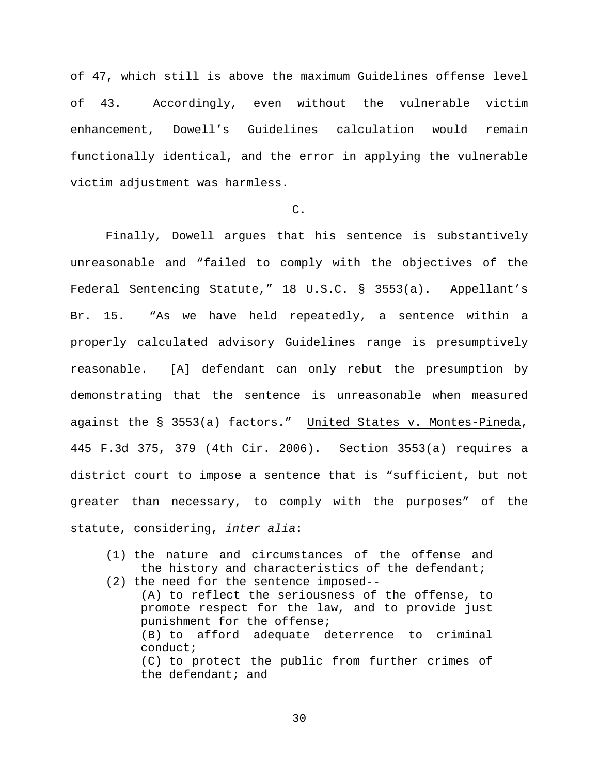of 47, which still is above the maximum Guidelines offense level of 43. Accordingly, even without the vulnerable victim enhancement, Dowell's Guidelines calculation would remain functionally identical, and the error in applying the vulnerable victim adjustment was harmless.

## $C<sub>1</sub>$

Finally, Dowell argues that his sentence is substantively unreasonable and "failed to comply with the objectives of the Federal Sentencing Statute," 18 U.S.C. § 3553(a). Appellant's Br. 15. "As we have held repeatedly, a sentence within a properly calculated advisory Guidelines range is presumptively reasonable. [A] defendant can only rebut the presumption by demonstrating that the sentence is unreasonable when measured against the § 3553(a) factors." United States v. Montes-Pineda, 445 F.3d 375, 379 (4th Cir. 2006). Section 3553(a) requires a district court to impose a sentence that is "sufficient, but not greater than necessary, to comply with the purposes" of the statute, considering, *inter alia*:

- (1) the nature and circumstances of the offense and the history and characteristics of the defendant;
- (2) the need for the sentence imposed-- (A) to reflect the seriousness of the offense, to promote respect for the law, and to provide just punishment for the offense; (B) to afford adequate deterrence to criminal conduct; (C) to protect the public from further crimes of the defendant; and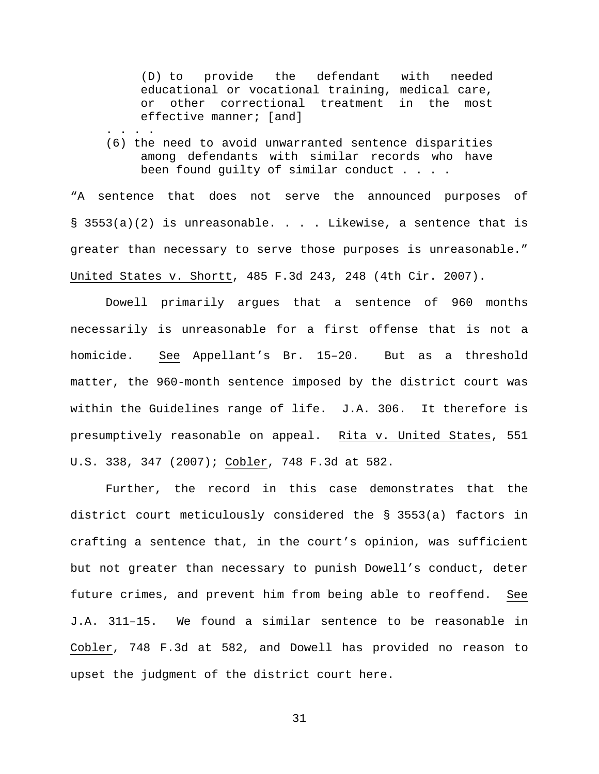(D) to provide the defendant with needed educational or vocational training, medical care, or other correctional treatment in the most effective manner; [and]

. . . . . (6) the need to avoid unwarranted sentence disparities among defendants with similar records who have been found guilty of similar conduct . . . .

"A sentence that does not serve the announced purposes of  $\S$  3553(a)(2) is unreasonable. . . . Likewise, a sentence that is greater than necessary to serve those purposes is unreasonable." United States v. Shortt, 485 F.3d 243, 248 (4th Cir. 2007).

Dowell primarily argues that a sentence of 960 months necessarily is unreasonable for a first offense that is not a homicide. See Appellant's Br. 15–20. But as a threshold matter, the 960-month sentence imposed by the district court was within the Guidelines range of life. J.A. 306. It therefore is presumptively reasonable on appeal. Rita v. United States, 551 U.S. 338, 347 (2007); Cobler, 748 F.3d at 582.

Further, the record in this case demonstrates that the district court meticulously considered the § 3553(a) factors in crafting a sentence that, in the court's opinion, was sufficient but not greater than necessary to punish Dowell's conduct, deter future crimes, and prevent him from being able to reoffend. See J.A. 311–15. We found a similar sentence to be reasonable in Cobler, 748 F.3d at 582, and Dowell has provided no reason to upset the judgment of the district court here.